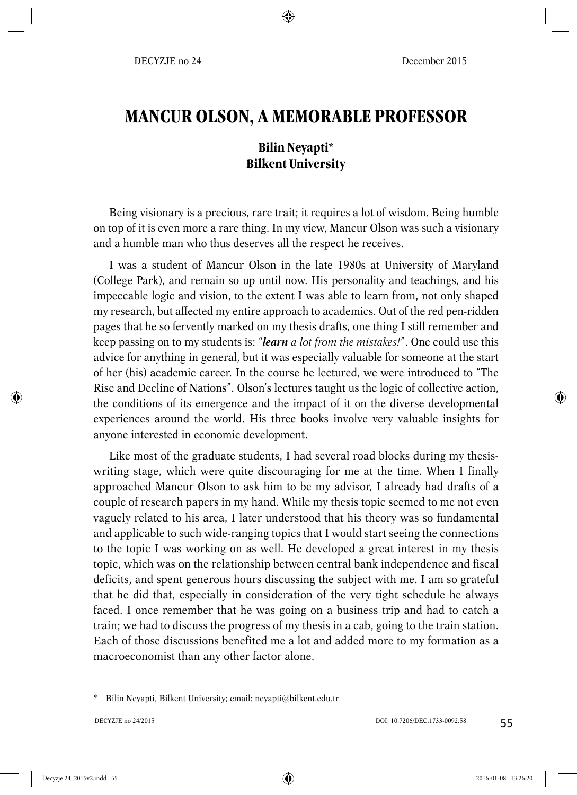## **MANCUR OLSON, A MEMORABLE PROFESSOR**

## **Bilin Neyapti\* Bilkent University**

Being visionary is a precious, rare trait; it requires a lot of wisdom. Being humble on top of it is even more a rare thing. In my view, Mancur Olson was such a visionary and a humble man who thus deserves all the respect he receives.

I was a student of Mancur Olson in the late 1980s at University of Maryland (College Park), and remain so up until now. His personality and teachings, and his impeccable logic and vision, to the extent I was able to learn from, not only shaped my research, but affected my entire approach to academics. Out of the red pen-ridden pages that he so fervently marked on my thesis drafts, one thing I still remember and keep passing on to my students is: "*learn a lot from the mistakes!*". One could use this advice for anything in general, but it was especially valuable for someone at the start of her (his) academic career. In the course he lectured, we were introduced to "The Rise and Decline of Nations". Olson's lectures taught us the logic of collective action, the conditions of its emergence and the impact of it on the diverse developmental experiences around the world. His three books involve very valuable insights for anyone interested in economic development.

Like most of the graduate students, I had several road blocks during my thesiswriting stage, which were quite discouraging for me at the time. When I finally approached Mancur Olson to ask him to be my advisor, I already had drafts of a couple of research papers in my hand. While my thesis topic seemed to me not even vaguely related to his area, I later understood that his theory was so fundamental and applicable to such wide-ranging topics that I would start seeing the connections to the topic I was working on as well. He developed a great interest in my thesis topic, which was on the relationship between central bank independence and fiscal deficits, and spent generous hours discussing the subject with me. I am so grateful that he did that, especially in consideration of the very tight schedule he always faced. I once remember that he was going on a business trip and had to catch a train; we had to discuss the progress of my thesis in a cab, going to the train station. Each of those discussions benefited me a lot and added more to my formation as a macroeconomist than any other factor alone.

<sup>\*</sup> Bilin Neyapti, Bilkent University; email: neyapti@bilkent.edu.tr